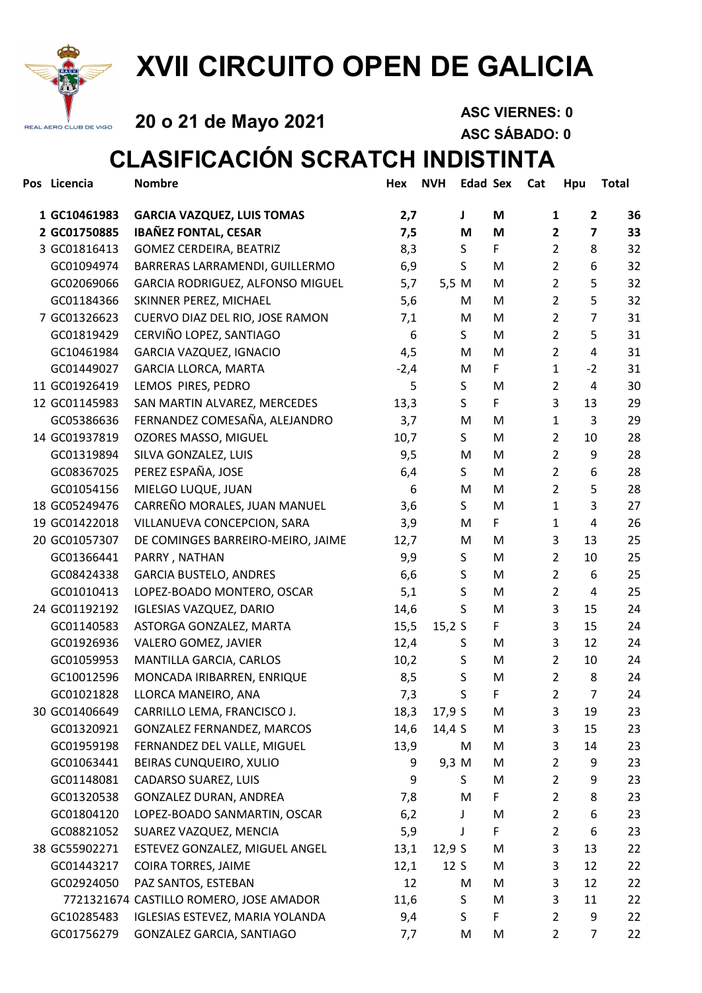

# XVII CIRCUITO OPEN DE GALICIA

20 o 21 de Mayo 2021 ASC VIERNES: 0

ASC SÁBADO: 0

### CLASIFICACIÓN SCRATCH INDISTINTA

| Pos Licencia  | <b>Nombre</b>                           | Hex    | <b>NVH</b> | <b>Edad Sex</b> |    | Cat | Hpu            |                         | <b>Total</b> |
|---------------|-----------------------------------------|--------|------------|-----------------|----|-----|----------------|-------------------------|--------------|
| 1 GC10461983  | <b>GARCIA VAZQUEZ, LUIS TOMAS</b>       | 2,7    |            | J               | M  |     | 1              | $\overline{2}$          | 36           |
| 2 GC01750885  | <b>IBAÑEZ FONTAL, CESAR</b>             | 7,5    |            | M               | M  |     | $\mathbf{2}$   | $\overline{\mathbf{z}}$ | 33           |
| 3 GC01816413  | GOMEZ CERDEIRA, BEATRIZ                 | 8,3    |            | S               | F. |     | $\overline{2}$ | 8                       | 32           |
| GC01094974    | BARRERAS LARRAMENDI, GUILLERMO          | 6,9    |            | S               | M  |     | $\overline{2}$ | 6                       | 32           |
| GC02069066    | GARCIA RODRIGUEZ, ALFONSO MIGUEL        | 5,7    | 5,5 M      |                 | M  |     | $\overline{2}$ | 5                       | 32           |
| GC01184366    | SKINNER PEREZ, MICHAEL                  | 5,6    |            | M               | M  |     | $\overline{2}$ | 5                       | 32           |
| 7 GC01326623  | CUERVO DIAZ DEL RIO, JOSE RAMON         | 7,1    |            | M               | M  |     | $\overline{2}$ | $\overline{7}$          | 31           |
| GC01819429    | CERVIÑO LOPEZ, SANTIAGO                 | 6      |            | S               | M  |     | $\overline{2}$ | 5                       | 31           |
| GC10461984    | GARCIA VAZQUEZ, IGNACIO                 | 4,5    |            | M               | M  |     | $\overline{2}$ | 4                       | 31           |
| GC01449027    | <b>GARCIA LLORCA, MARTA</b>             | $-2,4$ |            | M               | F. |     | $\mathbf{1}$   | $-2$                    | 31           |
| 11 GC01926419 | LEMOS PIRES, PEDRO                      | 5      |            | S               | M  |     | $\overline{2}$ | 4                       | 30           |
| 12 GC01145983 | SAN MARTIN ALVAREZ, MERCEDES            | 13,3   |            | S               | F  |     | 3              | 13                      | 29           |
| GC05386636    | FERNANDEZ COMESAÑA, ALEJANDRO           | 3,7    |            | M               | M  |     | 1              | 3                       | 29           |
| 14 GC01937819 | OZORES MASSO, MIGUEL                    | 10,7   |            | S               | M  |     | $\overline{2}$ | 10                      | 28           |
| GC01319894    | SILVA GONZALEZ, LUIS                    | 9,5    |            | M               | М  |     | $\overline{2}$ | 9                       | 28           |
| GC08367025    | PEREZ ESPAÑA, JOSE                      | 6,4    |            | S               | М  |     | $\overline{2}$ | 6                       | 28           |
| GC01054156    | MIELGO LUQUE, JUAN                      | 6      |            | M               | М  |     | $\overline{2}$ | 5                       | 28           |
| 18 GC05249476 | CARREÑO MORALES, JUAN MANUEL            | 3,6    |            | S               | M  |     | 1              | 3                       | 27           |
| 19 GC01422018 | VILLANUEVA CONCEPCION, SARA             | 3,9    |            | M               | F  |     | 1              | 4                       | 26           |
| 20 GC01057307 | DE COMINGES BARREIRO-MEIRO, JAIME       | 12,7   |            | M               | M  |     | 3              | 13                      | 25           |
| GC01366441    | PARRY, NATHAN                           | 9,9    |            | S               | M  |     | $\overline{2}$ | 10                      | 25           |
| GC08424338    | <b>GARCIA BUSTELO, ANDRES</b>           | 6,6    |            | S               | M  |     | $\overline{2}$ | 6                       | 25           |
| GC01010413    | LOPEZ-BOADO MONTERO, OSCAR              | 5,1    |            | S               | M  |     | $\overline{2}$ | 4                       | 25           |
| 24 GC01192192 | <b>IGLESIAS VAZQUEZ, DARIO</b>          | 14,6   |            | S               | M  |     | 3              | 15                      | 24           |
| GC01140583    | ASTORGA GONZALEZ, MARTA                 | 15,5   | 15,2S      |                 | F  |     | 3              | 15                      | 24           |
| GC01926936    | VALERO GOMEZ, JAVIER                    | 12,4   |            | S               | M  |     | 3              | 12                      | 24           |
| GC01059953    | MANTILLA GARCIA, CARLOS                 | 10,2   |            | $\sf S$         | M  |     | $\overline{2}$ | 10                      | 24           |
| GC10012596    | MONCADA IRIBARREN, ENRIQUE              | 8,5    |            | $\sf S$         | M  |     | $\overline{2}$ | 8                       | 24           |
| GC01021828    | LLORCA MANEIRO, ANA                     | 7,3    |            | S               | F  |     | $\overline{2}$ | $\overline{7}$          | 24           |
| 30 GC01406649 | CARRILLO LEMA, FRANCISCO J.             | 18,3   | 17,9S      |                 | M  |     | 3              | 19                      | 23           |
| GC01320921    | GONZALEZ FERNANDEZ, MARCOS              | 14,6   | 14,4 S     |                 | M  |     | 3              | 15                      | 23           |
| GC01959198    | FERNANDEZ DEL VALLE, MIGUEL             | 13,9   |            | M               | M  |     | 3              | 14                      | 23           |
| GC01063441    | BEIRAS CUNQUEIRO, XULIO                 | 9      | 9,3 M      |                 | M  |     | 2              | 9                       | 23           |
| GC01148081    | CADARSO SUAREZ, LUIS                    | 9      |            | S               | M  |     | $\overline{2}$ | 9                       | 23           |
| GC01320538    | GONZALEZ DURAN, ANDREA                  | 7,8    |            | M               | F  |     | $\overline{2}$ | 8                       | 23           |
| GC01804120    | LOPEZ-BOADO SANMARTIN, OSCAR            | 6,2    |            | J               | M  |     | $\overline{2}$ | 6                       | 23           |
| GC08821052    | SUAREZ VAZQUEZ, MENCIA                  | 5,9    |            | J               | F  |     | $\overline{2}$ | 6                       | 23           |
| 38 GC55902271 | ESTEVEZ GONZALEZ, MIGUEL ANGEL          | 13,1   | 12,9S      |                 | M  |     | 3              | 13                      | 22           |
| GC01443217    | <b>COIRA TORRES, JAIME</b>              | 12,1   | 12S        |                 | M  |     | 3              | 12                      | 22           |
| GC02924050    | PAZ SANTOS, ESTEBAN                     | 12     |            | M               | M  |     | 3              | 12                      | 22           |
|               | 7721321674 CASTILLO ROMERO, JOSE AMADOR | 11,6   |            | S               | M  |     | 3              | 11                      | 22           |
| GC10285483    | IGLESIAS ESTEVEZ, MARIA YOLANDA         | 9,4    |            | S               | F  |     | $\overline{2}$ | 9                       | 22           |
| GC01756279    | GONZALEZ GARCIA, SANTIAGO               | 7,7    |            | M               | M  |     | $\overline{2}$ | $\overline{7}$          | 22           |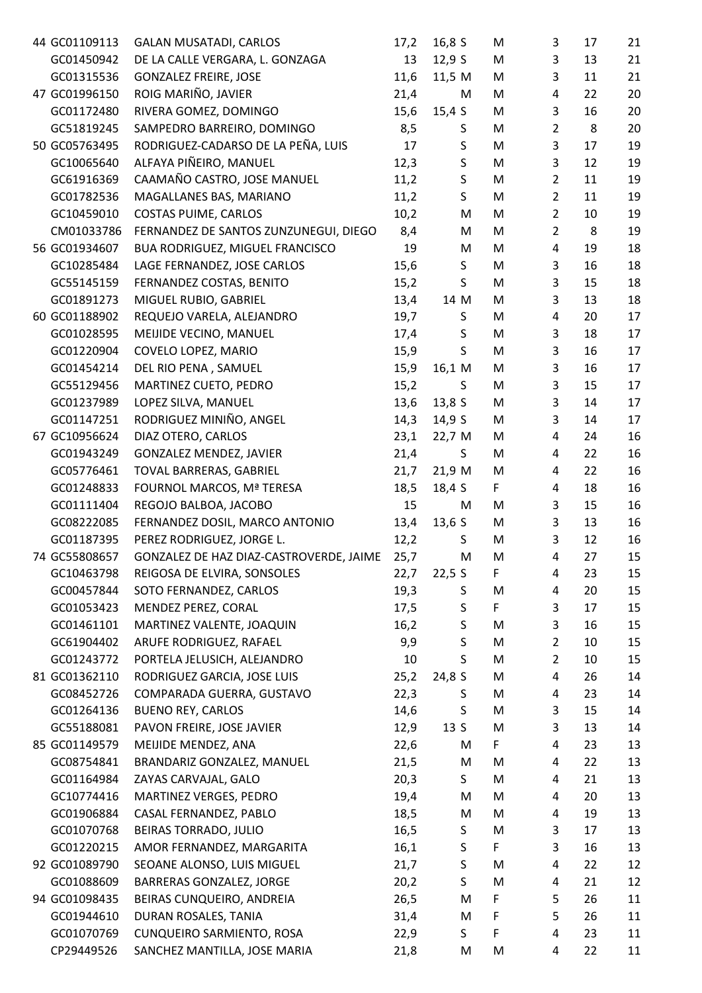| 44 GC01109113 | <b>GALAN MUSATADI, CARLOS</b>           | 17,2 | 16,8S        | M  | 3              | 17 | 21 |
|---------------|-----------------------------------------|------|--------------|----|----------------|----|----|
| GC01450942    | DE LA CALLE VERGARA, L. GONZAGA         | 13   | 12,9S        | M  | 3              | 13 | 21 |
| GC01315536    | <b>GONZALEZ FREIRE, JOSE</b>            | 11,6 | 11,5 M       | M  | 3              | 11 | 21 |
| 47 GC01996150 | ROIG MARIÑO, JAVIER                     | 21,4 | M            | M  | 4              | 22 | 20 |
| GC01172480    | RIVERA GOMEZ, DOMINGO                   | 15,6 | 15,4 S       | M  | 3              | 16 | 20 |
| GC51819245    | SAMPEDRO BARREIRO, DOMINGO              | 8,5  | S            | M  | $\overline{2}$ | 8  | 20 |
| 50 GC05763495 | RODRIGUEZ-CADARSO DE LA PEÑA, LUIS      | 17   | $\sf S$      | M  | 3              | 17 | 19 |
| GC10065640    | ALFAYA PIÑEIRO, MANUEL                  | 12,3 | $\sf S$      | M  | 3              | 12 | 19 |
| GC61916369    | CAAMAÑO CASTRO, JOSE MANUEL             | 11,2 | $\sf S$      | M  | $\overline{2}$ | 11 | 19 |
| GC01782536    | MAGALLANES BAS, MARIANO                 | 11,2 | $\mathsf{S}$ | M  | $\overline{2}$ | 11 | 19 |
| GC10459010    | COSTAS PUIME, CARLOS                    | 10,2 | M            | M  | $\overline{2}$ | 10 | 19 |
| CM01033786    | FERNANDEZ DE SANTOS ZUNZUNEGUI, DIEGO   | 8,4  | M            | M  | $\overline{2}$ | 8  | 19 |
| 56 GC01934607 | BUA RODRIGUEZ, MIGUEL FRANCISCO         | 19   | M            | M  | 4              | 19 | 18 |
| GC10285484    | LAGE FERNANDEZ, JOSE CARLOS             | 15,6 | $\sf S$      | M  | 3              | 16 | 18 |
| GC55145159    | FERNANDEZ COSTAS, BENITO                | 15,2 | S            | M  | 3              | 15 | 18 |
| GC01891273    | MIGUEL RUBIO, GABRIEL                   | 13,4 | 14 M         | M  | 3              | 13 | 18 |
| 60 GC01188902 | REQUEJO VARELA, ALEJANDRO               | 19,7 | S            | M  | 4              | 20 | 17 |
| GC01028595    | MEIJIDE VECINO, MANUEL                  | 17,4 | S            | M  | 3              | 18 | 17 |
| GC01220904    | COVELO LOPEZ, MARIO                     | 15,9 | S            | M  | 3              | 16 | 17 |
| GC01454214    | DEL RIO PENA, SAMUEL                    | 15,9 | 16,1 M       | M  | 3              | 16 | 17 |
| GC55129456    | MARTINEZ CUETO, PEDRO                   | 15,2 | S            | M  | 3              | 15 | 17 |
| GC01237989    | LOPEZ SILVA, MANUEL                     | 13,6 | 13,8S        | M  | 3              | 14 | 17 |
| GC01147251    | RODRIGUEZ MINIÑO, ANGEL                 | 14,3 | 14,9 S       | M  | 3              | 14 | 17 |
| 67 GC10956624 | DIAZ OTERO, CARLOS                      | 23,1 | 22,7 M       | M  | 4              | 24 | 16 |
| GC01943249    | <b>GONZALEZ MENDEZ, JAVIER</b>          | 21,4 | S            | M  | 4              | 22 | 16 |
| GC05776461    | TOVAL BARRERAS, GABRIEL                 | 21,7 | 21,9 M       | M  | 4              | 22 | 16 |
| GC01248833    | FOURNOL MARCOS, Mª TERESA               | 18,5 | 18,4 S       | F  | 4              | 18 | 16 |
| GC01111404    | REGOJO BALBOA, JACOBO                   | 15   | M            | M  | 3              | 15 | 16 |
| GC08222085    | FERNANDEZ DOSIL, MARCO ANTONIO          | 13,4 | 13,6S        | M  | 3              | 13 | 16 |
| GC01187395    | PEREZ RODRIGUEZ, JORGE L.               | 12,2 | S.           | M  | 3              | 12 | 16 |
| 74 GC55808657 | GONZALEZ DE HAZ DIAZ-CASTROVERDE, JAIME | 25,7 | M            | М  | 4              | 27 | 15 |
| GC10463798    | REIGOSA DE ELVIRA, SONSOLES             | 22,7 | 22,5S        | F  | 4              | 23 | 15 |
| GC00457844    | SOTO FERNANDEZ, CARLOS                  | 19,3 | S            | M  | 4              | 20 | 15 |
| GC01053423    | MENDEZ PEREZ, CORAL                     | 17,5 | $\sf S$      | F  | 3              | 17 | 15 |
| GC01461101    | MARTINEZ VALENTE, JOAQUIN               | 16,2 | S            | M  | 3              | 16 | 15 |
| GC61904402    | ARUFE RODRIGUEZ, RAFAEL                 | 9,9  | S            | M  | $\overline{2}$ | 10 | 15 |
| GC01243772    | PORTELA JELUSICH, ALEJANDRO             | 10   | S            | M  | $\overline{2}$ | 10 | 15 |
| 81 GC01362110 | RODRIGUEZ GARCIA, JOSE LUIS             | 25,2 | 24,8 S       | M  | 4              | 26 | 14 |
| GC08452726    | COMPARADA GUERRA, GUSTAVO               | 22,3 | S            | M  | 4              | 23 | 14 |
| GC01264136    | <b>BUENO REY, CARLOS</b>                | 14,6 | S            | M  | 3              | 15 | 14 |
| GC55188081    | PAVON FREIRE, JOSE JAVIER               | 12,9 | 13S          | M  | 3              | 13 | 14 |
| 85 GC01149579 | MEIJIDE MENDEZ, ANA                     | 22,6 | M            | F. | 4              | 23 | 13 |
| GC08754841    | BRANDARIZ GONZALEZ, MANUEL              | 21,5 | M            | M  | 4              | 22 | 13 |
| GC01164984    | ZAYAS CARVAJAL, GALO                    | 20,3 | S            | M  | 4              | 21 | 13 |
| GC10774416    | MARTINEZ VERGES, PEDRO                  | 19,4 | M            | M  | 4              | 20 | 13 |
| GC01906884    | CASAL FERNANDEZ, PABLO                  | 18,5 | M            | M  | 4              | 19 | 13 |
| GC01070768    | BEIRAS TORRADO, JULIO                   | 16,5 | S            | M  | 3              | 17 | 13 |
| GC01220215    | AMOR FERNANDEZ, MARGARITA               | 16,1 | S            | F  | 3              | 16 | 13 |
| 92 GC01089790 | SEOANE ALONSO, LUIS MIGUEL              | 21,7 | $\sf S$      | M  | 4              | 22 | 12 |
| GC01088609    | BARRERAS GONZALEZ, JORGE                | 20,2 | S            | M  | 4              | 21 | 12 |
| 94 GC01098435 | BEIRAS CUNQUEIRO, ANDREIA               | 26,5 | M            | F  | 5              | 26 | 11 |
| GC01944610    | DURAN ROSALES, TANIA                    | 31,4 | M            | F  | 5              | 26 | 11 |
| GC01070769    | CUNQUEIRO SARMIENTO, ROSA               | 22,9 | S            | F  | 4              | 23 | 11 |
| CP29449526    | SANCHEZ MANTILLA, JOSE MARIA            | 21,8 | M            | M  | 4              | 22 | 11 |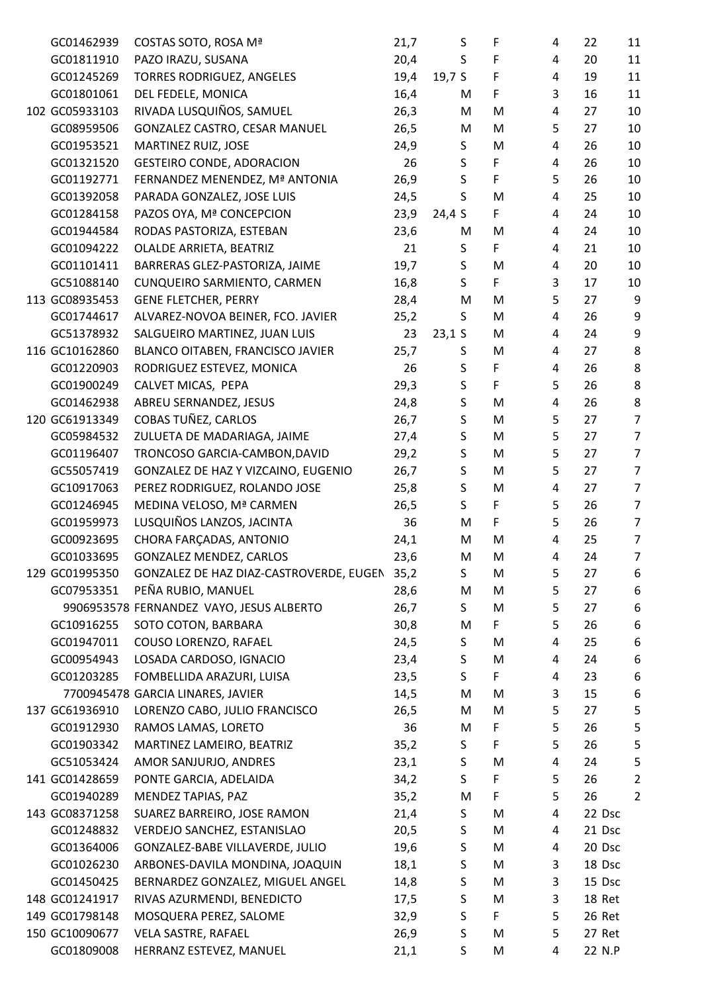| GC01462939     | COSTAS SOTO, ROSA Mª                     | 21,7 | S            | F  | 4              | 22     | 11               |
|----------------|------------------------------------------|------|--------------|----|----------------|--------|------------------|
| GC01811910     | PAZO IRAZU, SUSANA                       | 20,4 | S            | F  | 4              | 20     | 11               |
| GC01245269     | TORRES RODRIGUEZ, ANGELES                | 19,4 | 19,7 $S$     | F  | 4              | 19     | 11               |
| GC01801061     | DEL FEDELE, MONICA                       | 16,4 | M            | F  | 3              | 16     | 11               |
| 102 GC05933103 | RIVADA LUSQUIÑOS, SAMUEL                 | 26,3 | M            | M  | 4              | 27     | 10               |
| GC08959506     | GONZALEZ CASTRO, CESAR MANUEL            | 26,5 | M            | M  | 5              | 27     | 10               |
| GC01953521     | MARTINEZ RUIZ, JOSE                      | 24,9 | S            | M  | 4              | 26     | 10               |
| GC01321520     | <b>GESTEIRO CONDE, ADORACION</b>         | 26   | $\mathsf S$  | F  | 4              | 26     | 10               |
| GC01192771     | FERNANDEZ MENENDEZ, Mª ANTONIA           | 26,9 | $\sf S$      | F  | 5              | 26     | 10               |
| GC01392058     | PARADA GONZALEZ, JOSE LUIS               | 24,5 | S            | M  | 4              | 25     | 10               |
| GC01284158     | PAZOS OYA, Mª CONCEPCION                 | 23,9 | 24,4 S       | F  | 4              | 24     | 10               |
| GC01944584     | RODAS PASTORIZA, ESTEBAN                 | 23,6 | M            | M  | 4              | 24     | 10               |
| GC01094222     | OLALDE ARRIETA, BEATRIZ                  | 21   | S            | F  | 4              | 21     | 10               |
| GC01101411     | BARRERAS GLEZ-PASTORIZA, JAIME           | 19,7 | $\mathsf S$  | M  | 4              | 20     | 10               |
| GC51088140     | CUNQUEIRO SARMIENTO, CARMEN              | 16,8 | $\mathsf{S}$ | F. | 3              | 17     | 10               |
| 113 GC08935453 | <b>GENE FLETCHER, PERRY</b>              | 28,4 | M            | M  | 5              | 27     | 9                |
| GC01744617     | ALVAREZ-NOVOA BEINER, FCO. JAVIER        | 25,2 | S            | M  | 4              | 26     | 9                |
| GC51378932     | SALGUEIRO MARTINEZ, JUAN LUIS            | 23   | $23,1$ S     | M  | 4              | 24     | $\boldsymbol{9}$ |
| 116 GC10162860 | BLANCO OITABEN, FRANCISCO JAVIER         | 25,7 | S            | M  | 4              | 27     | 8                |
| GC01220903     | RODRIGUEZ ESTEVEZ, MONICA                | 26   | S            | F  | 4              | 26     | $\,8\,$          |
|                |                                          |      | S            | F  |                | 26     | $\bf 8$          |
| GC01900249     | CALVET MICAS, PEPA                       | 29,3 |              |    | 5              |        |                  |
| GC01462938     | ABREU SERNANDEZ, JESUS                   | 24,8 | $\sf S$      | M  | 4              | 26     | 8                |
| 120 GC61913349 | COBAS TUÑEZ, CARLOS                      | 26,7 | $\sf S$      | M  | 5              | 27     | $\overline{7}$   |
| GC05984532     | ZULUETA DE MADARIAGA, JAIME              | 27,4 | $\sf S$      | M  | 5              | 27     | $\overline{7}$   |
| GC01196407     | TRONCOSO GARCIA-CAMBON, DAVID            | 29,2 | $\mathsf S$  | M  | 5              | 27     | $\overline{7}$   |
| GC55057419     | GONZALEZ DE HAZ Y VIZCAINO, EUGENIO      | 26,7 | $\sf S$      | M  | 5              | 27     | $\overline{7}$   |
| GC10917063     | PEREZ RODRIGUEZ, ROLANDO JOSE            | 25,8 | S            | M  | 4              | 27     | $\overline{7}$   |
| GC01246945     | MEDINA VELOSO, Mª CARMEN                 | 26,5 | $\mathsf{S}$ | F  | 5              | 26     | $\overline{7}$   |
| GC01959973     | LUSQUIÑOS LANZOS, JACINTA                | 36   | M            | F. | 5              | 26     | $\overline{7}$   |
| GC00923695     | CHORA FARÇADAS, ANTONIO                  | 24,1 | M            | M  | 4              | 25     | $\overline{7}$   |
| GC01033695     | <b>GONZALEZ MENDEZ, CARLOS</b>           | 23,6 | M            | M  | $\overline{4}$ | 24     | $\overline{7}$   |
| 129 GC01995350 | GONZALEZ DE HAZ DIAZ-CASTROVERDE, EUGEN  | 35,2 | S            | М  | 5              | 27     | 6                |
| GC07953351     | PEÑA RUBIO, MANUEL                       | 28,6 | M            | M  | 5              | 27     | 6                |
|                | 9906953578 FERNANDEZ VAYO, JESUS ALBERTO | 26,7 | S.           | M  | 5              | 27     | 6                |
| GC10916255     | SOTO COTON, BARBARA                      | 30,8 | M            | F. | 5              | 26     | $\boldsymbol{6}$ |
| GC01947011     | COUSO LORENZO, RAFAEL                    | 24,5 | S            | M  | 4              | 25     | 6                |
| GC00954943     | LOSADA CARDOSO, IGNACIO                  | 23,4 | S            | M  | 4              | 24     | $\boldsymbol{6}$ |
| GC01203285     | FOMBELLIDA ARAZURI, LUISA                | 23,5 | S            | F. | 4              | 23     | 6                |
|                | 7700945478 GARCIA LINARES, JAVIER        | 14,5 | M            | M  | 3              | 15     | 6                |
| 137 GC61936910 | LORENZO CABO, JULIO FRANCISCO            | 26,5 | M            | M  | 5              | 27     | 5                |
| GC01912930     | RAMOS LAMAS, LORETO                      | 36   | M            | F  | 5              | 26     | 5                |
| GC01903342     | MARTINEZ LAMEIRO, BEATRIZ                | 35,2 | S.           | F  | 5              | 26     | $\mathsf S$      |
| GC51053424     | AMOR SANJURJO, ANDRES                    | 23,1 | S            | M  | 4              | 24     | 5                |
| 141 GC01428659 | PONTE GARCIA, ADELAIDA                   | 34,2 | S            | F  | 5              | 26     | $\overline{2}$   |
| GC01940289     | MENDEZ TAPIAS, PAZ                       | 35,2 | M            | F  | 5              | 26     | $\overline{2}$   |
| 143 GC08371258 | SUAREZ BARREIRO, JOSE RAMON              | 21,4 | S            | M  | 4              | 22 Dsc |                  |
| GC01248832     | VERDEJO SANCHEZ, ESTANISLAO              | 20,5 | S            | M  | 4              | 21 Dsc |                  |
| GC01364006     | GONZALEZ-BABE VILLAVERDE, JULIO          | 19,6 | S            | M  | 4              | 20 Dsc |                  |
| GC01026230     | ARBONES-DAVILA MONDINA, JOAQUIN          | 18,1 | $\sf S$      | M  | 3              | 18 Dsc |                  |
| GC01450425     | BERNARDEZ GONZALEZ, MIGUEL ANGEL         | 14,8 | $\sf S$      | M  | 3              | 15 Dsc |                  |
| 148 GC01241917 | RIVAS AZURMENDI, BENEDICTO               | 17,5 | S            | M  | 3              | 18 Ret |                  |
| 149 GC01798148 | MOSQUERA PEREZ, SALOME                   | 32,9 | S            | F  | 5              | 26 Ret |                  |
| 150 GC10090677 | VELA SASTRE, RAFAEL                      | 26,9 | $\sf S$      | M  | 5              | 27 Ret |                  |
| GC01809008     | HERRANZ ESTEVEZ, MANUEL                  | 21,1 | S            | M  | 4              | 22 N.P |                  |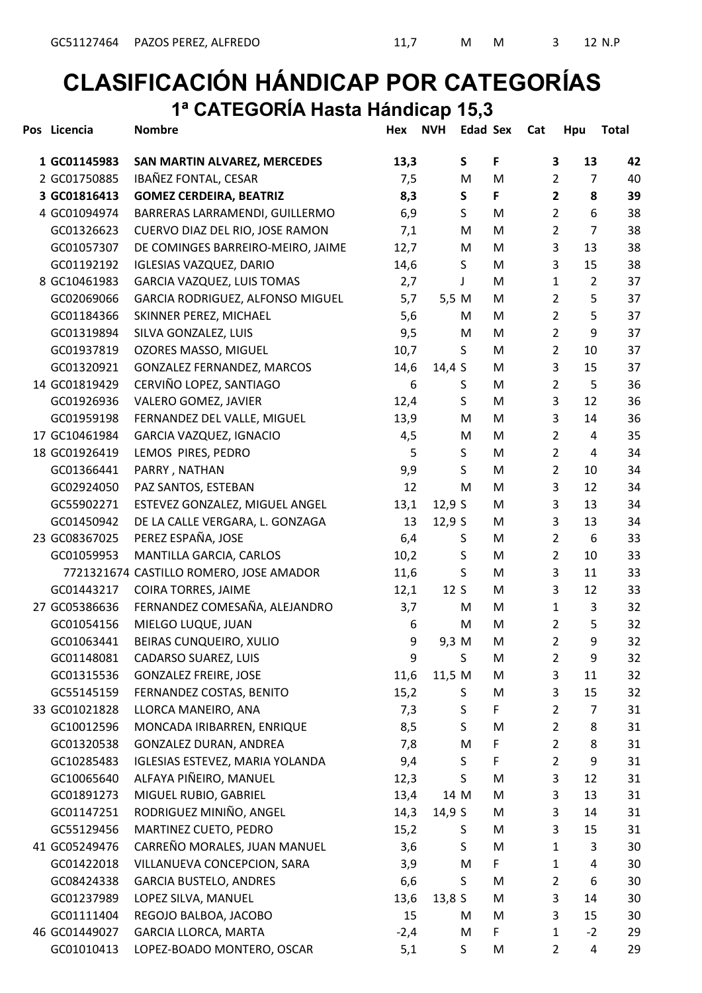#### CLASIFICACIÓN HÁNDICAP POR CATEGORÍAS 1ª CATEGORÍA Hasta Hándicap 15,3

| Pos Licencia  | <b>Nombre</b>                           | Hex    | <b>NVH</b> | <b>Edad Sex</b> |   | Cat | Hpu            |                | <b>Total</b> |
|---------------|-----------------------------------------|--------|------------|-----------------|---|-----|----------------|----------------|--------------|
| 1 GC01145983  | <b>SAN MARTIN ALVAREZ, MERCEDES</b>     | 13,3   |            | S               | F |     | 3              | 13             | 42           |
| 2 GC01750885  | IBAÑEZ FONTAL, CESAR                    | 7,5    |            | M               | M |     | 2              | 7              | 40           |
| 3 GC01816413  | <b>GOMEZ CERDEIRA, BEATRIZ</b>          | 8,3    |            | S               | F |     | $\mathbf{2}$   | 8              | 39           |
| 4 GC01094974  | BARRERAS LARRAMENDI, GUILLERMO          | 6,9    |            | S               | M |     | $\overline{2}$ | 6              | 38           |
| GC01326623    | CUERVO DIAZ DEL RIO, JOSE RAMON         | 7,1    |            | M               | M |     | $\overline{2}$ | 7              | 38           |
| GC01057307    | DE COMINGES BARREIRO-MEIRO, JAIME       | 12,7   |            | M               | M |     | 3              | 13             | 38           |
| GC01192192    | <b>IGLESIAS VAZQUEZ, DARIO</b>          | 14,6   |            | S               | M |     | 3              | 15             | 38           |
| 8 GC10461983  | GARCIA VAZQUEZ, LUIS TOMAS              | 2,7    |            | T               | M |     | 1              | $\overline{2}$ | 37           |
| GC02069066    | GARCIA RODRIGUEZ, ALFONSO MIGUEL        | 5,7    | 5,5 M      |                 | M |     | $\overline{2}$ | 5              | 37           |
| GC01184366    | SKINNER PEREZ, MICHAEL                  | 5,6    |            | M               | M |     | $\overline{2}$ | 5              | 37           |
| GC01319894    | SILVA GONZALEZ, LUIS                    | 9,5    |            | M               | M |     | $\overline{2}$ | 9              | 37           |
| GC01937819    | OZORES MASSO, MIGUEL                    | 10,7   |            | S               | M |     | $\overline{2}$ | 10             | 37           |
| GC01320921    | GONZALEZ FERNANDEZ, MARCOS              | 14,6   | 14,4 $S$   |                 | M |     | 3              | 15             | 37           |
| 14 GC01819429 | CERVIÑO LOPEZ, SANTIAGO                 | 6      |            | S               | M |     | $\overline{2}$ | 5              | 36           |
| GC01926936    | VALERO GOMEZ, JAVIER                    | 12,4   |            | S               | M |     | 3              | 12             | 36           |
| GC01959198    | FERNANDEZ DEL VALLE, MIGUEL             | 13,9   |            | M               | M |     | 3              | 14             | 36           |
| 17 GC10461984 | GARCIA VAZQUEZ, IGNACIO                 | 4,5    |            | M               | M |     | $\overline{2}$ | 4              | 35           |
| 18 GC01926419 | LEMOS PIRES, PEDRO                      | 5      |            | S               | M |     | $\overline{2}$ | 4              | 34           |
| GC01366441    | PARRY, NATHAN                           | 9,9    |            | S               | M |     | $\overline{2}$ | 10             | 34           |
| GC02924050    | PAZ SANTOS, ESTEBAN                     | 12     |            | M               | M |     | 3              | 12             | 34           |
| GC55902271    | ESTEVEZ GONZALEZ, MIGUEL ANGEL          | 13,1   | 12,9S      |                 | M |     | 3              | 13             | 34           |
| GC01450942    | DE LA CALLE VERGARA, L. GONZAGA         | 13     | 12,9S      |                 | M |     | 3              | 13             | 34           |
| 23 GC08367025 | PEREZ ESPAÑA, JOSE                      | 6,4    |            | S               | M |     | $\overline{2}$ | 6              | 33           |
| GC01059953    | MANTILLA GARCIA, CARLOS                 | 10,2   |            | S               | M |     | $\overline{2}$ | 10             | 33           |
|               | 7721321674 CASTILLO ROMERO, JOSE AMADOR | 11,6   |            | $\sf S$         | M |     | 3              | 11             | 33           |
| GC01443217    | COIRA TORRES, JAIME                     | 12,1   | 12S        |                 | M |     | 3              | 12             | 33           |
| 27 GC05386636 | FERNANDEZ COMESAÑA, ALEJANDRO           | 3,7    |            | M               | M |     | $\mathbf{1}$   | 3              | 32           |
| GC01054156    | MIELGO LUQUE, JUAN                      | 6      |            | M               | M |     | $\overline{2}$ | 5              | 32           |
| GC01063441    | BEIRAS CUNQUEIRO, XULIO                 | 9      | 9,3 M      |                 | M |     | 2              | 9              | 32           |
| GC01148081    | <b>CADARSO SUAREZ, LUIS</b>             | 9      |            | S               | M |     | $\overline{2}$ | 9              | 32           |
| GC01315536    | <b>GONZALEZ FREIRE, JOSE</b>            | 11,6   | 11,5 M     |                 | M |     | 3              | 11             | 32           |
| GC55145159    | FERNANDEZ COSTAS, BENITO                | 15,2   |            | S               | M |     | 3              | 15             | 32           |
| 33 GC01021828 | LLORCA MANEIRO, ANA                     | 7,3    |            | S               | F |     | 2              | 7              | 31           |
| GC10012596    | MONCADA IRIBARREN, ENRIQUE              | 8,5    |            | S               | M |     | 2              | 8              | 31           |
| GC01320538    | <b>GONZALEZ DURAN, ANDREA</b>           | 7,8    |            | M               | F |     | $\overline{2}$ | 8              | 31           |
| GC10285483    | IGLESIAS ESTEVEZ, MARIA YOLANDA         | 9,4    |            | S               | F |     | $\overline{2}$ | 9              | 31           |
| GC10065640    | ALFAYA PIÑEIRO, MANUEL                  | 12,3   |            | $\mathsf{S}$    | M |     | 3              | 12             | 31           |
| GC01891273    | MIGUEL RUBIO, GABRIEL                   | 13,4   | 14 M       |                 | M |     | 3              | 13             | 31           |
| GC01147251    | RODRIGUEZ MINIÑO, ANGEL                 | 14,3   | 14,9 $S$   |                 | M |     | 3              | 14             | 31           |
| GC55129456    | MARTINEZ CUETO, PEDRO                   | 15,2   |            | S               | M |     | 3              | 15             | 31           |
| 41 GC05249476 | CARREÑO MORALES, JUAN MANUEL            | 3,6    |            | S               | M |     | $\mathbf{1}$   | 3              | 30           |
| GC01422018    | VILLANUEVA CONCEPCION, SARA             | 3,9    |            | M               | F |     | 1              | 4              | 30           |
| GC08424338    | <b>GARCIA BUSTELO, ANDRES</b>           | 6,6    |            | S               | M |     | $\overline{2}$ | 6              | 30           |
| GC01237989    | LOPEZ SILVA, MANUEL                     | 13,6   | 13,8S      |                 | M |     | 3              | 14             | 30           |
| GC01111404    | REGOJO BALBOA, JACOBO                   | 15     |            | M               | M |     | 3              | 15             | 30           |
| 46 GC01449027 | <b>GARCIA LLORCA, MARTA</b>             | $-2,4$ |            | M               | F |     | 1              | $-2$           | 29           |
| GC01010413    | LOPEZ-BOADO MONTERO, OSCAR              | 5,1    |            | S.              | M |     | 2              | 4              | 29           |
|               |                                         |        |            |                 |   |     |                |                |              |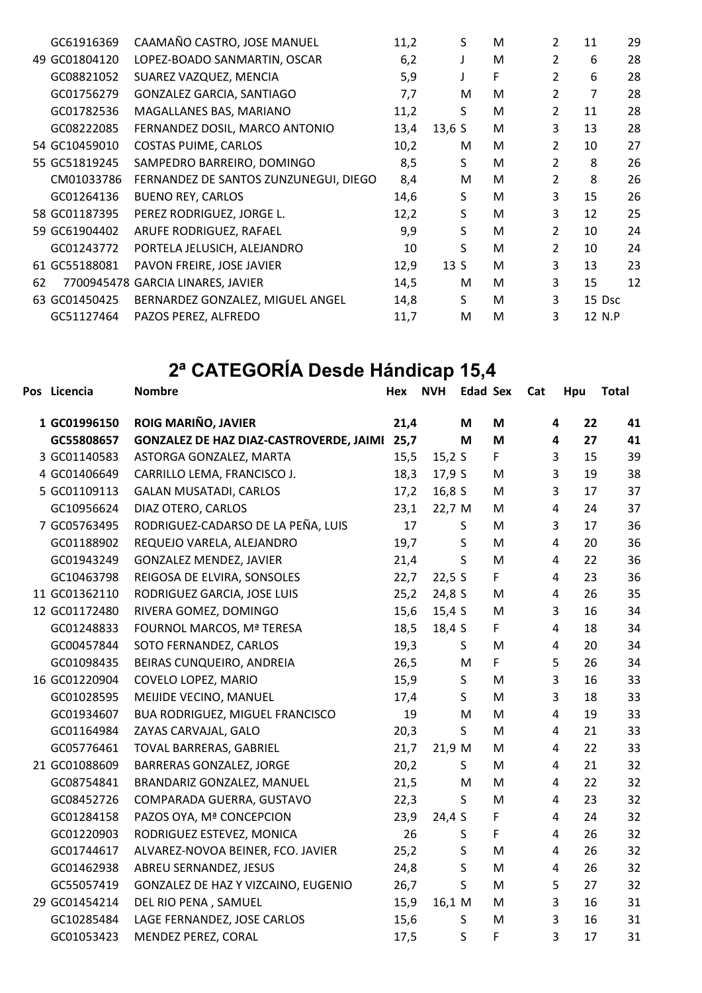|    | GC61916369    | CAAMAÑO CASTRO, JOSE MANUEL           | 11,2 | S     | м | $\overline{2}$ | 11 | 29     |
|----|---------------|---------------------------------------|------|-------|---|----------------|----|--------|
| 49 | GC01804120    | LOPEZ-BOADO SANMARTIN, OSCAR          | 6,2  | J     | м | 2              | 6  | 28     |
|    | GC08821052    | SUAREZ VAZQUEZ, MENCIA                | 5,9  |       | F | $\overline{2}$ | 6  | 28     |
|    | GC01756279    | GONZALEZ GARCIA, SANTIAGO             | 7,7  | M     | м | 2              | 7  | 28     |
|    | GC01782536    | MAGALLANES BAS, MARIANO               | 11,2 | S     | м | $\overline{2}$ | 11 | 28     |
|    | GC08222085    | FERNANDEZ DOSIL, MARCO ANTONIO        | 13,4 | 13,6S | М | 3              | 13 | 28     |
|    | 54 GC10459010 | <b>COSTAS PUIME, CARLOS</b>           | 10,2 | М     | м | 2              | 10 | 27     |
|    | 55 GC51819245 | SAMPEDRO BARREIRO, DOMINGO            | 8,5  | S.    | м | $\overline{2}$ | 8  | 26     |
|    | CM01033786    | FERNANDEZ DE SANTOS ZUNZUNEGUI, DIEGO | 8,4  | M     | M | 2              | 8  | 26     |
|    | GC01264136    | <b>BUENO REY, CARLOS</b>              | 14,6 | S     | м | 3              | 15 | 26     |
|    | 58 GC01187395 | PEREZ RODRIGUEZ, JORGE L.             | 12,2 | S     | м | 3              | 12 | 25     |
|    | 59 GC61904402 | ARUFE RODRIGUEZ, RAFAEL               | 9,9  | S     | м | 2              | 10 | 24     |
|    | GC01243772    | PORTELA JELUSICH, ALEJANDRO           | 10   | S     | м | $\overline{2}$ | 10 | 24     |
|    | 61 GC55188081 | PAVON FREIRE, JOSE JAVIER             | 12,9 | 13S   | M | 3              | 13 | 23     |
| 62 |               | 7700945478 GARCIA LINARES, JAVIER     | 14,5 | М     | M | 3              | 15 | 12     |
|    | 63 GC01450425 | BERNARDEZ GONZALEZ, MIGUEL ANGEL      | 14,8 | S     | м | 3              |    | 15 Dsc |
|    | GC51127464    | PAZOS PEREZ, ALFREDO                  | 11,7 | M     | M | 3              |    | 12 N.P |

### 2ª CATEGORÍA Desde Hándicap 15,4

| Pos Licencia  | <b>Nombre</b>                                  | Hex  | <b>NVH</b> | <b>Edad Sex</b> |    | Cat | Hpu                           | <b>Total</b> |
|---------------|------------------------------------------------|------|------------|-----------------|----|-----|-------------------------------|--------------|
| 1 GC01996150  | ROIG MARIÑO, JAVIER                            | 21,4 |            | M               | M  |     | 22<br>4                       | 41           |
| GC55808657    | <b>GONZALEZ DE HAZ DIAZ-CASTROVERDE, JAIMI</b> | 25,7 |            | M               | M  |     | 4<br>27                       | 41           |
| 3 GC01140583  | ASTORGA GONZALEZ, MARTA                        | 15,5 | 15,2 S     |                 | F. |     | 3<br>15                       | 39           |
| 4 GC01406649  | CARRILLO LEMA, FRANCISCO J.                    | 18,3 | 17,9 S     |                 | M  |     | 3<br>19                       | 38           |
| 5 GC01109113  | <b>GALAN MUSATADI, CARLOS</b>                  | 17,2 | 16,8 S     |                 | M  |     | 3<br>17                       | 37           |
| GC10956624    | DIAZ OTERO, CARLOS                             | 23,1 | 22,7 M     |                 | M  |     | $\overline{\mathbf{4}}$<br>24 | 37           |
| 7 GC05763495  | RODRIGUEZ-CADARSO DE LA PEÑA, LUIS             | 17   |            | S               | M  |     | 3<br>17                       | 36           |
| GC01188902    | REQUEJO VARELA, ALEJANDRO                      | 19,7 |            | S               | M  |     | $\overline{4}$<br>20          | 36           |
| GC01943249    | <b>GONZALEZ MENDEZ, JAVIER</b>                 | 21,4 |            | S               | M  |     | 4<br>22                       | 36           |
| GC10463798    | REIGOSA DE ELVIRA, SONSOLES                    | 22,7 | 22,5S      |                 | F. |     | 23<br>4                       | 36           |
| 11 GC01362110 | RODRIGUEZ GARCIA, JOSE LUIS                    | 25,2 | 24,8 S     |                 | M  |     | 4<br>26                       | 35           |
| 12 GC01172480 | RIVERA GOMEZ, DOMINGO                          | 15,6 | 15,4 S     |                 | M  |     | 3<br>16                       | 34           |
| GC01248833    | FOURNOL MARCOS, Mª TERESA                      | 18,5 | 18,4 S     |                 | F  |     | $\overline{\mathbf{4}}$<br>18 | 34           |
| GC00457844    | SOTO FERNANDEZ, CARLOS                         | 19,3 |            | S               | M  |     | 4<br>20                       | 34           |
| GC01098435    | BEIRAS CUNQUEIRO, ANDREIA                      | 26,5 |            | M               | F. |     | 5<br>26                       | 34           |
| 16 GC01220904 | COVELO LOPEZ, MARIO                            | 15,9 |            | S               | M  |     | 3<br>16                       | 33           |
| GC01028595    | MEIJIDE VECINO, MANUEL                         | 17,4 |            | S               | M  |     | 3<br>18                       | 33           |
| GC01934607    | BUA RODRIGUEZ, MIGUEL FRANCISCO                | 19   |            | M               | M  |     | $\overline{4}$<br>19          | 33           |
| GC01164984    | ZAYAS CARVAJAL, GALO                           | 20,3 |            | S               | M  |     | 4<br>21                       | 33           |
| GC05776461    | TOVAL BARRERAS, GABRIEL                        | 21,7 | 21,9 M     |                 | M  |     | 22<br>4                       | 33           |
| 21 GC01088609 | <b>BARRERAS GONZALEZ, JORGE</b>                | 20,2 |            | S.              | M  |     | $\overline{4}$<br>21          | 32           |
| GC08754841    | BRANDARIZ GONZALEZ, MANUEL                     | 21,5 |            | M               | M  |     | $\overline{4}$<br>22          | 32           |
| GC08452726    | COMPARADA GUERRA, GUSTAVO                      | 22,3 |            | S               | M  |     | 4<br>23                       | 32           |
| GC01284158    | PAZOS OYA, Mª CONCEPCION                       | 23,9 | 24,4 S     |                 | F  |     | 4<br>24                       | 32           |
| GC01220903    | RODRIGUEZ ESTEVEZ, MONICA                      | 26   |            | S               | F  |     | 26<br>4                       | 32           |
| GC01744617    | ALVAREZ-NOVOA BEINER, FCO. JAVIER              | 25,2 |            | S               | M  |     | $\overline{4}$<br>26          | 32           |
| GC01462938    | ABREU SERNANDEZ, JESUS                         | 24,8 |            | $\sf S$         | м  |     | 4<br>26                       | 32           |
| GC55057419    | GONZALEZ DE HAZ Y VIZCAINO, EUGENIO            | 26,7 |            | $\mathsf{S}$    | M  |     | 5<br>27                       | 32           |
| 29 GC01454214 | DEL RIO PENA, SAMUEL                           | 15,9 | 16,1 M     |                 | M  |     | 3<br>16                       | 31           |
| GC10285484    | LAGE FERNANDEZ, JOSE CARLOS                    | 15,6 |            | S               | M  |     | 3<br>16                       | 31           |
| GC01053423    | MENDEZ PEREZ, CORAL                            | 17,5 |            | S               | F  |     | 3<br>17                       | 31           |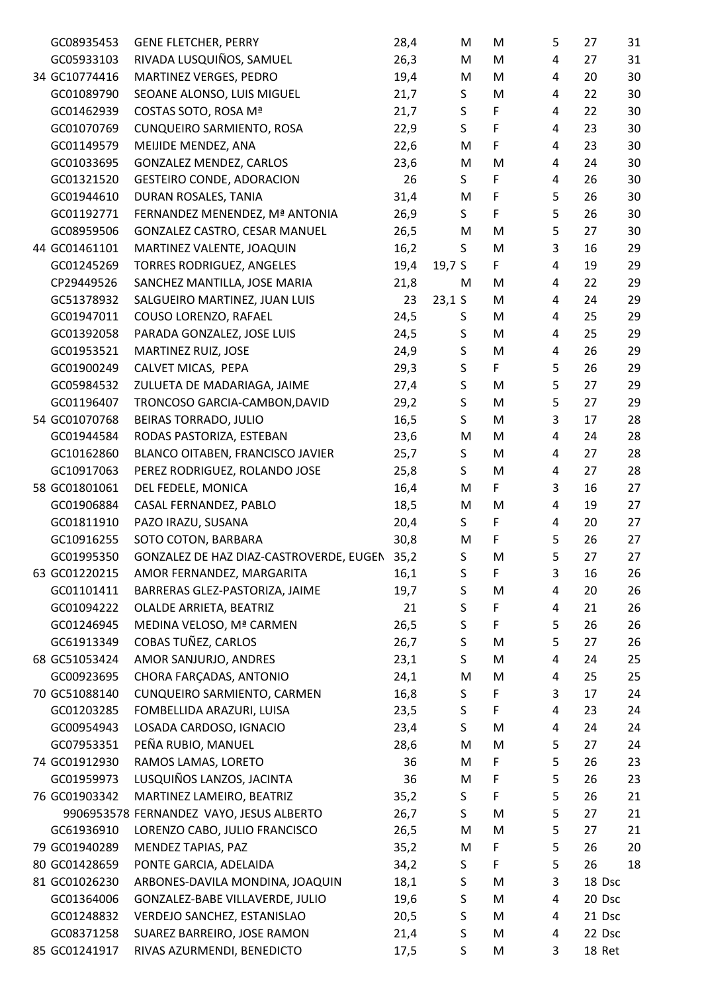| GC08935453    | <b>GENE FLETCHER, PERRY</b>              | 28,4 | M        | M  | 5              | 27     | 31 |
|---------------|------------------------------------------|------|----------|----|----------------|--------|----|
| GC05933103    | RIVADA LUSQUIÑOS, SAMUEL                 | 26,3 | M        | M  | 4              | 27     | 31 |
| 34 GC10774416 | MARTINEZ VERGES, PEDRO                   | 19,4 | M        | M  | 4              | 20     | 30 |
| GC01089790    | SEOANE ALONSO, LUIS MIGUEL               | 21,7 | S        | M  | 4              | 22     | 30 |
| GC01462939    | COSTAS SOTO, ROSA Mª                     | 21,7 | S        | F  | 4              | 22     | 30 |
| GC01070769    | CUNQUEIRO SARMIENTO, ROSA                | 22,9 | S.       | F  | 4              | 23     | 30 |
| GC01149579    | MEIJIDE MENDEZ, ANA                      | 22,6 | M        | F  | 4              | 23     | 30 |
| GC01033695    | GONZALEZ MENDEZ, CARLOS                  | 23,6 | M        | M  | 4              | 24     | 30 |
| GC01321520    | <b>GESTEIRO CONDE, ADORACION</b>         | 26   | S        | F  | 4              | 26     | 30 |
| GC01944610    | DURAN ROSALES, TANIA                     | 31,4 | M        | F  | 5              | 26     | 30 |
| GC01192771    | FERNANDEZ MENENDEZ, Mª ANTONIA           | 26,9 | S.       | F  | 5              | 26     | 30 |
| GC08959506    | GONZALEZ CASTRO, CESAR MANUEL            | 26,5 | M        | M  | 5              | 27     | 30 |
| 44 GC01461101 | MARTINEZ VALENTE, JOAQUIN                | 16,2 | S        | M  | 3              | 16     | 29 |
| GC01245269    | TORRES RODRIGUEZ, ANGELES                | 19,4 | 19,7 S   | F  | 4              | 19     | 29 |
| CP29449526    | SANCHEZ MANTILLA, JOSE MARIA             | 21,8 | M        | M  | 4              | 22     | 29 |
| GC51378932    | SALGUEIRO MARTINEZ, JUAN LUIS            | 23   | $23,1$ S | M  | 4              | 24     | 29 |
| GC01947011    | COUSO LORENZO, RAFAEL                    | 24,5 | S        | M  | 4              | 25     | 29 |
| GC01392058    | PARADA GONZALEZ, JOSE LUIS               | 24,5 | S        | M  | 4              | 25     | 29 |
| GC01953521    | MARTINEZ RUIZ, JOSE                      | 24,9 | $\sf S$  | M  | 4              | 26     | 29 |
| GC01900249    | CALVET MICAS, PEPA                       | 29,3 | S        | F. | 5              | 26     | 29 |
| GC05984532    | ZULUETA DE MADARIAGA, JAIME              | 27,4 | S        | M  | 5              | 27     | 29 |
| GC01196407    | TRONCOSO GARCIA-CAMBON, DAVID            | 29,2 | $\sf S$  | M  | 5              | 27     | 29 |
| 54 GC01070768 | BEIRAS TORRADO, JULIO                    | 16,5 | S        | M  | 3              | 17     | 28 |
| GC01944584    | RODAS PASTORIZA, ESTEBAN                 | 23,6 | M        | M  | 4              | 24     | 28 |
| GC10162860    | BLANCO OITABEN, FRANCISCO JAVIER         | 25,7 | S        | M  | 4              | 27     | 28 |
| GC10917063    | PEREZ RODRIGUEZ, ROLANDO JOSE            | 25,8 | S        | M  | 4              | 27     | 28 |
| 58 GC01801061 | DEL FEDELE, MONICA                       | 16,4 | M        | F  | 3              | 16     | 27 |
| GC01906884    | CASAL FERNANDEZ, PABLO                   | 18,5 | M        | M  | 4              | 19     | 27 |
| GC01811910    | PAZO IRAZU, SUSANA                       | 20,4 | S.       | F  | 4              | 20     | 27 |
| GC10916255    | SOTO COTON, BARBARA                      | 30,8 | M        | F  | 5              | 26     | 27 |
| GC01995350    | GONZALEZ DE HAZ DIAZ-CASTROVERDE, EUGEN  | 35,2 | S        | M  | 5              | 27     | 27 |
| 63 GC01220215 | AMOR FERNANDEZ, MARGARITA                | 16,1 | S        | F  | 3              | 16     | 26 |
| GC01101411    | BARRERAS GLEZ-PASTORIZA, JAIME           | 19,7 | S        | M  | 4              | 20     | 26 |
| GC01094222    | OLALDE ARRIETA, BEATRIZ                  | 21   | S        | F  | 4              | 21     | 26 |
| GC01246945    | MEDINA VELOSO, Mª CARMEN                 | 26,5 | $\sf S$  | F  | 5              | 26     | 26 |
| GC61913349    | COBAS TUÑEZ, CARLOS                      | 26,7 | S        | M  | 5              | 27     | 26 |
| 68 GC51053424 | AMOR SANJURJO, ANDRES                    | 23,1 | S        | M  | 4              | 24     | 25 |
| GC00923695    | CHORA FARÇADAS, ANTONIO                  | 24,1 | M        | M  | 4              | 25     | 25 |
| 70 GC51088140 | CUNQUEIRO SARMIENTO, CARMEN              | 16,8 | S        | F  | 3              | 17     | 24 |
| GC01203285    | FOMBELLIDA ARAZURI, LUISA                | 23,5 | S        | F  | 4              | 23     | 24 |
| GC00954943    | LOSADA CARDOSO, IGNACIO                  | 23,4 | S        | M  | 4              | 24     | 24 |
| GC07953351    | PEÑA RUBIO, MANUEL                       | 28,6 | M        | M  | 5              | 27     | 24 |
| 74 GC01912930 | RAMOS LAMAS, LORETO                      | 36   | M        | F  | 5              | 26     | 23 |
| GC01959973    | LUSQUIÑOS LANZOS, JACINTA                | 36   | M        | F  | 5              | 26     | 23 |
| 76 GC01903342 | MARTINEZ LAMEIRO, BEATRIZ                | 35,2 | S        | F  | 5              | 26     | 21 |
|               | 9906953578 FERNANDEZ VAYO, JESUS ALBERTO | 26,7 | S.       | M  | 5              | 27     | 21 |
| GC61936910    | LORENZO CABO, JULIO FRANCISCO            | 26,5 | M        | M  | 5              | 27     | 21 |
| 79 GC01940289 | MENDEZ TAPIAS, PAZ                       | 35,2 | M        | F  | 5              | 26     | 20 |
| 80 GC01428659 | PONTE GARCIA, ADELAIDA                   | 34,2 | S        | F  | 5              | 26     | 18 |
| 81 GC01026230 | ARBONES-DAVILA MONDINA, JOAQUIN          | 18,1 | S        | M  | 3              | 18 Dsc |    |
| GC01364006    | GONZALEZ-BABE VILLAVERDE, JULIO          | 19,6 | S        | M  | $\overline{4}$ | 20 Dsc |    |
| GC01248832    | VERDEJO SANCHEZ, ESTANISLAO              | 20,5 | S        | M  | 4              | 21 Dsc |    |
| GC08371258    | SUAREZ BARREIRO, JOSE RAMON              | 21,4 | S        | M  |                | 22 Dsc |    |
| 85 GC01241917 | RIVAS AZURMENDI, BENEDICTO               | 17,5 | S        | M  | 4<br>3         | 18 Ret |    |
|               |                                          |      |          |    |                |        |    |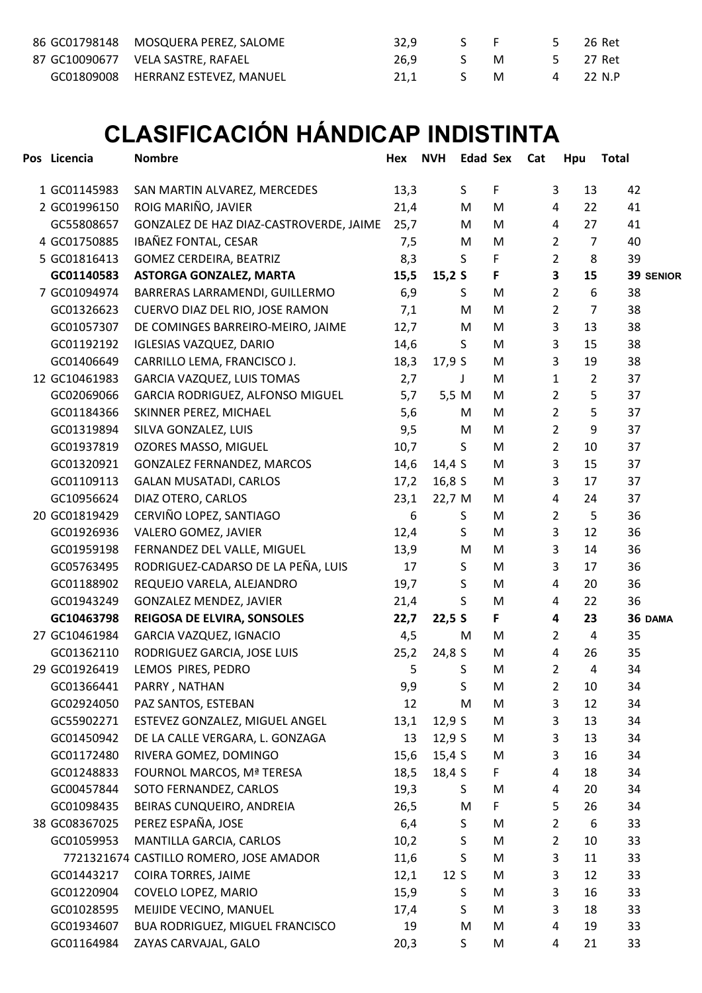| 86 GC01798148 MOSQUERA PEREZ, SALOME | 32.9 | S F                                           |   | $5^{\circ}$ | 26 Ret   |
|--------------------------------------|------|-----------------------------------------------|---|-------------|----------|
| 87 GC10090677 VELA SASTRE, RAFAEL    | 26.9 | $S^{\sim}$ . Similarly, the set of $S^{\sim}$ | M |             | 5 27 Ret |
| GC01809008 HERRANZ ESTEVEZ, MANUEL   |      | 21.1 S M                                      |   |             | 4 22 N.P |

## CLASIFICACIÓN HÁNDICAP INDISTINTA

| Pos Licencia  | <b>Nombre</b>                           | Hex  | <b>NVH</b> | <b>Edad Sex</b> |   | Cat | Hpu                                | Total |           |
|---------------|-----------------------------------------|------|------------|-----------------|---|-----|------------------------------------|-------|-----------|
| 1 GC01145983  | SAN MARTIN ALVAREZ, MERCEDES            | 13,3 |            | S               | F |     | 3<br>13                            | 42    |           |
| 2 GC01996150  | ROIG MARIÑO, JAVIER                     | 21,4 |            | M               | M |     | $\overline{4}$<br>22               | 41    |           |
| GC55808657    | GONZALEZ DE HAZ DIAZ-CASTROVERDE, JAIME | 25,7 |            | M               | M |     | 4<br>27                            | 41    |           |
| 4 GC01750885  | IBAÑEZ FONTAL, CESAR                    | 7,5  |            | M               | M |     | $\overline{2}$<br>$\overline{7}$   | 40    |           |
| 5 GC01816413  | GOMEZ CERDEIRA, BEATRIZ                 | 8,3  |            | S               | F |     | $\overline{2}$<br>8                | 39    |           |
| GC01140583    | <b>ASTORGA GONZALEZ, MARTA</b>          | 15,5 | 15,2S      |                 | F |     | 3<br>15                            |       | 39 SENIOR |
| 7 GC01094974  | BARRERAS LARRAMENDI, GUILLERMO          | 6,9  |            | S               | M |     | $\overline{2}$<br>$\boldsymbol{6}$ | 38    |           |
| GC01326623    | CUERVO DIAZ DEL RIO, JOSE RAMON         | 7,1  |            | M               | M |     | $\overline{2}$<br>$\overline{7}$   | 38    |           |
| GC01057307    | DE COMINGES BARREIRO-MEIRO, JAIME       | 12,7 |            | M               | M |     | 3<br>13                            | 38    |           |
| GC01192192    | <b>IGLESIAS VAZQUEZ, DARIO</b>          | 14,6 |            | S               | M |     | 3<br>15                            | 38    |           |
| GC01406649    | CARRILLO LEMA, FRANCISCO J.             | 18,3 | 17,9 S     |                 | M |     | 3<br>19                            | 38    |           |
| 12 GC10461983 | GARCIA VAZQUEZ, LUIS TOMAS              | 2,7  |            | $\mathsf{J}$    | M |     | $\mathbf{1}$<br>$\overline{2}$     | 37    |           |
| GC02069066    | GARCIA RODRIGUEZ, ALFONSO MIGUEL        | 5,7  | 5,5 M      |                 | M |     | 5<br>$\overline{2}$                | 37    |           |
| GC01184366    | SKINNER PEREZ, MICHAEL                  | 5,6  |            | M               | M |     | 5<br>2                             | 37    |           |
| GC01319894    | SILVA GONZALEZ, LUIS                    | 9,5  |            | M               | M |     | 9<br>2                             | 37    |           |
| GC01937819    | OZORES MASSO, MIGUEL                    | 10,7 |            | S               | M |     | 2<br>10                            | 37    |           |
| GC01320921    | <b>GONZALEZ FERNANDEZ, MARCOS</b>       | 14,6 | 14,4 $S$   |                 | M |     | 3<br>15                            | 37    |           |
| GC01109113    | <b>GALAN MUSATADI, CARLOS</b>           | 17,2 | 16,8S      |                 | M |     | 3<br>17                            | 37    |           |
| GC10956624    | DIAZ OTERO, CARLOS                      | 23,1 | 22,7 M     |                 | M |     | 4<br>24                            | 37    |           |
| 20 GC01819429 | CERVIÑO LOPEZ, SANTIAGO                 | 6    |            | S               | M |     | 2<br>5                             | 36    |           |
| GC01926936    | VALERO GOMEZ, JAVIER                    | 12,4 |            | S               | M |     | 3<br>12                            | 36    |           |
| GC01959198    | FERNANDEZ DEL VALLE, MIGUEL             | 13,9 |            | M               | M |     | 3<br>14                            | 36    |           |
| GC05763495    | RODRIGUEZ-CADARSO DE LA PEÑA, LUIS      | 17   |            | S               | M |     | 3<br>17                            | 36    |           |
| GC01188902    | REQUEJO VARELA, ALEJANDRO               | 19,7 |            | S               | M |     | 4<br>20                            | 36    |           |
| GC01943249    | <b>GONZALEZ MENDEZ, JAVIER</b>          | 21,4 |            | S               | M |     | 4<br>22                            | 36    |           |
| GC10463798    | <b>REIGOSA DE ELVIRA, SONSOLES</b>      | 22,7 | 22,5S      |                 | F |     | 4<br>23                            |       | 36 DAMA   |
| 27 GC10461984 | GARCIA VAZQUEZ, IGNACIO                 | 4,5  |            | M               | M |     | $\overline{2}$<br>4                | 35    |           |
| GC01362110    | RODRIGUEZ GARCIA, JOSE LUIS             | 25,2 | 24,8 S     |                 | M |     | 4<br>26                            | 35    |           |
| 29 GC01926419 | LEMOS PIRES, PEDRO                      | 5    |            | S               | М |     | 2<br>4                             | 34    |           |
| GC01366441    | PARRY, NATHAN                           | 9,9  |            | S               | M |     | $\overline{2}$<br>10               | 34    |           |
| GC02924050    | PAZ SANTOS, ESTEBAN                     | 12   |            | M               | M |     | 3<br>12                            | 34    |           |
| GC55902271    | ESTEVEZ GONZALEZ, MIGUEL ANGEL          | 13,1 | 12,9S      |                 | M |     | 3<br>13                            | 34    |           |
| GC01450942    | DE LA CALLE VERGARA, L. GONZAGA         | 13   | 12,9S      |                 | M |     | 3<br>13                            | 34    |           |
| GC01172480    | RIVERA GOMEZ, DOMINGO                   | 15,6 | 15,4 S     |                 | M |     | 3<br>16                            | 34    |           |
| GC01248833    | FOURNOL MARCOS, Mª TERESA               | 18,5 | 18,4 S     |                 | F |     | 4<br>18                            | 34    |           |
| GC00457844    | SOTO FERNANDEZ, CARLOS                  | 19,3 |            | S               | M |     | $\overline{a}$<br>20               | 34    |           |
| GC01098435    | BEIRAS CUNQUEIRO, ANDREIA               | 26,5 |            | M               | F |     | 5<br>26                            | 34    |           |
| 38 GC08367025 | PEREZ ESPAÑA, JOSE                      | 6,4  |            | S               | M |     | $\overline{2}$<br>6                | 33    |           |
| GC01059953    | MANTILLA GARCIA, CARLOS                 | 10,2 |            | S               | M |     | $\overline{2}$<br>10               | 33    |           |
|               | 7721321674 CASTILLO ROMERO, JOSE AMADOR | 11,6 |            | S               | M |     | 3<br>11                            | 33    |           |
| GC01443217    | COIRA TORRES, JAIME                     | 12,1 | 12S        |                 | M |     | 3<br>12                            | 33    |           |
| GC01220904    | COVELO LOPEZ, MARIO                     | 15,9 |            | S               | M |     | 3<br>16                            | 33    |           |
| GC01028595    | MEIJIDE VECINO, MANUEL                  | 17,4 |            | S               | M |     | 3<br>18                            | 33    |           |
| GC01934607    | BUA RODRIGUEZ, MIGUEL FRANCISCO         | 19   |            | M               | M |     | 4<br>19                            | 33    |           |
| GC01164984    | ZAYAS CARVAJAL, GALO                    | 20,3 |            | S               | M |     | 4<br>21                            | 33    |           |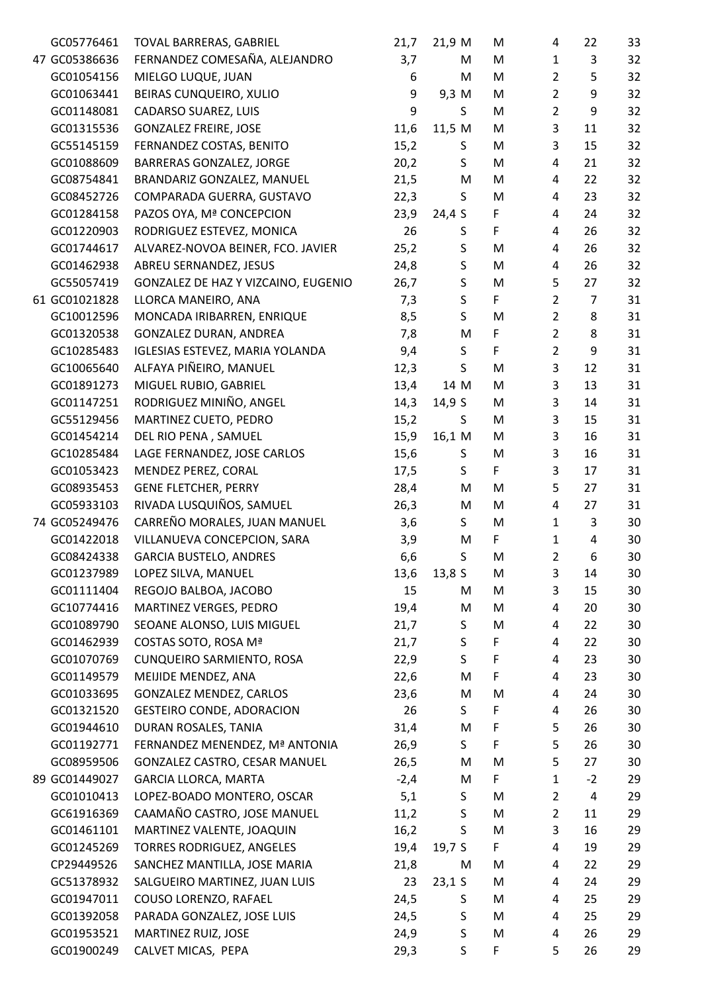| GC05776461    | TOVAL BARRERAS, GABRIEL             | 21,7   | 21,9 M      | M | 4              | 22             | 33 |
|---------------|-------------------------------------|--------|-------------|---|----------------|----------------|----|
| 47 GC05386636 | FERNANDEZ COMESAÑA, ALEJANDRO       | 3,7    | M           | M | $\mathbf{1}$   | 3              | 32 |
| GC01054156    | MIELGO LUQUE, JUAN                  | 6      | M           | M | $\overline{2}$ | 5              | 32 |
| GC01063441    | BEIRAS CUNQUEIRO, XULIO             | 9      | 9,3 M       | M | $\overline{2}$ | 9              | 32 |
| GC01148081    | CADARSO SUAREZ, LUIS                | 9      | S           | M | $\overline{2}$ | 9              | 32 |
| GC01315536    | <b>GONZALEZ FREIRE, JOSE</b>        | 11,6   | 11,5 M      | M | 3              | 11             | 32 |
| GC55145159    | FERNANDEZ COSTAS, BENITO            | 15,2   | S           | M | 3              | 15             | 32 |
| GC01088609    | BARRERAS GONZALEZ, JORGE            | 20,2   | S           | M | 4              | 21             | 32 |
| GC08754841    | BRANDARIZ GONZALEZ, MANUEL          | 21,5   | M           | M | 4              | 22             | 32 |
| GC08452726    | COMPARADA GUERRA, GUSTAVO           | 22,3   | S           | M | 4              | 23             | 32 |
| GC01284158    | PAZOS OYA, Mª CONCEPCION            | 23,9   | 24,4 S      | F | 4              | 24             | 32 |
| GC01220903    | RODRIGUEZ ESTEVEZ, MONICA           | 26     | S           | F | 4              | 26             | 32 |
| GC01744617    | ALVAREZ-NOVOA BEINER, FCO. JAVIER   | 25,2   | S           | M | 4              | 26             | 32 |
| GC01462938    | ABREU SERNANDEZ, JESUS              | 24,8   | $\sf S$     | M | 4              | 26             | 32 |
| GC55057419    | GONZALEZ DE HAZ Y VIZCAINO, EUGENIO | 26,7   | $\mathsf S$ | M | 5              | 27             | 32 |
| 61 GC01021828 | LLORCA MANEIRO, ANA                 | 7,3    | $\sf S$     | F | $\overline{2}$ | $\overline{7}$ | 31 |
| GC10012596    | MONCADA IRIBARREN, ENRIQUE          | 8,5    | $\mathsf S$ | M | $\overline{2}$ | 8              | 31 |
| GC01320538    | GONZALEZ DURAN, ANDREA              | 7,8    | M           | F | $\overline{2}$ | 8              | 31 |
| GC10285483    | IGLESIAS ESTEVEZ, MARIA YOLANDA     | 9,4    | $\sf S$     | F | $\overline{2}$ | 9              | 31 |
| GC10065640    | ALFAYA PIÑEIRO, MANUEL              | 12,3   | S           | M | 3              | 12             | 31 |
| GC01891273    | MIGUEL RUBIO, GABRIEL               | 13,4   | 14 M        | M | 3              | 13             | 31 |
| GC01147251    | RODRIGUEZ MINIÑO, ANGEL             | 14,3   | 14,9 S      | M | 3              | 14             | 31 |
| GC55129456    | MARTINEZ CUETO, PEDRO               | 15,2   | S           | M | 3              | 15             | 31 |
| GC01454214    | DEL RIO PENA, SAMUEL                | 15,9   | 16,1 M      | M | 3              | 16             | 31 |
| GC10285484    | LAGE FERNANDEZ, JOSE CARLOS         | 15,6   | S           | M | 3              | 16             | 31 |
| GC01053423    | MENDEZ PEREZ, CORAL                 | 17,5   | S           | F | 3              | 17             | 31 |
| GC08935453    | <b>GENE FLETCHER, PERRY</b>         | 28,4   | M           | M | 5              | 27             | 31 |
| GC05933103    | RIVADA LUSQUIÑOS, SAMUEL            | 26,3   | M           | M | 4              | 27             | 31 |
| 74 GC05249476 | CARREÑO MORALES, JUAN MANUEL        | 3,6    | S           | M | $\mathbf{1}$   | 3              | 30 |
| GC01422018    | VILLANUEVA CONCEPCION, SARA         | 3,9    | M           | F | $\mathbf{1}$   | 4              | 30 |
| GC08424338    | <b>GARCIA BUSTELO, ANDRES</b>       | 6,6    | $\sf S$     | M | $\overline{2}$ | 6              | 30 |
| GC01237989    | LOPEZ SILVA, MANUEL                 | 13,6   | 13,8S       | M | 3              | 14             | 30 |
| GC01111404    | REGOJO BALBOA, JACOBO               | 15     | M           | M | 3              | 15             | 30 |
| GC10774416    | MARTINEZ VERGES, PEDRO              | 19,4   | M           | M | 4              | 20             | 30 |
| GC01089790    | SEOANE ALONSO, LUIS MIGUEL          | 21,7   | S           | M | 4              | 22             | 30 |
| GC01462939    | COSTAS SOTO, ROSA Mª                | 21,7   | $\mathsf S$ | F | 4              | 22             | 30 |
| GC01070769    | CUNQUEIRO SARMIENTO, ROSA           | 22,9   | S           | F | 4              | 23             | 30 |
| GC01149579    | MEIJIDE MENDEZ, ANA                 | 22,6   | M           | F | 4              | 23             | 30 |
| GC01033695    | GONZALEZ MENDEZ, CARLOS             | 23,6   | M           | M | 4              | 24             | 30 |
| GC01321520    | <b>GESTEIRO CONDE, ADORACION</b>    | 26     | S           | F | 4              | 26             | 30 |
| GC01944610    | DURAN ROSALES, TANIA                | 31,4   | M           | F | 5              | 26             | 30 |
| GC01192771    | FERNANDEZ MENENDEZ, Mª ANTONIA      | 26,9   | S.          | F | 5              | 26             | 30 |
| GC08959506    | GONZALEZ CASTRO, CESAR MANUEL       | 26,5   | M           | M | 5              | 27             | 30 |
| 89 GC01449027 | <b>GARCIA LLORCA, MARTA</b>         | $-2,4$ | M           | F | $\mathbf{1}$   | $-2$           | 29 |
| GC01010413    | LOPEZ-BOADO MONTERO, OSCAR          | 5,1    | S           | M | $\overline{2}$ | $\overline{a}$ | 29 |
| GC61916369    | CAAMAÑO CASTRO, JOSE MANUEL         | 11,2   | S           | M | $\overline{2}$ | 11             | 29 |
| GC01461101    | MARTINEZ VALENTE, JOAQUIN           | 16,2   | S           | M | 3              | 16             | 29 |
| GC01245269    | TORRES RODRIGUEZ, ANGELES           | 19,4   | 19,7 $S$    | F | 4              | 19             | 29 |
| CP29449526    | SANCHEZ MANTILLA, JOSE MARIA        | 21,8   | M           | M | 4              | 22             | 29 |
| GC51378932    | SALGUEIRO MARTINEZ, JUAN LUIS       | 23     | $23,1$ S    | M | 4              | 24             | 29 |
| GC01947011    | COUSO LORENZO, RAFAEL               | 24,5   | S           | M | 4              | 25             | 29 |
| GC01392058    | PARADA GONZALEZ, JOSE LUIS          | 24,5   | S           | M | 4              | 25             | 29 |
| GC01953521    | MARTINEZ RUIZ, JOSE                 | 24,9   | S           | M | 4              | 26             | 29 |
| GC01900249    | CALVET MICAS, PEPA                  | 29,3   | S           | F | 5              | 26             | 29 |